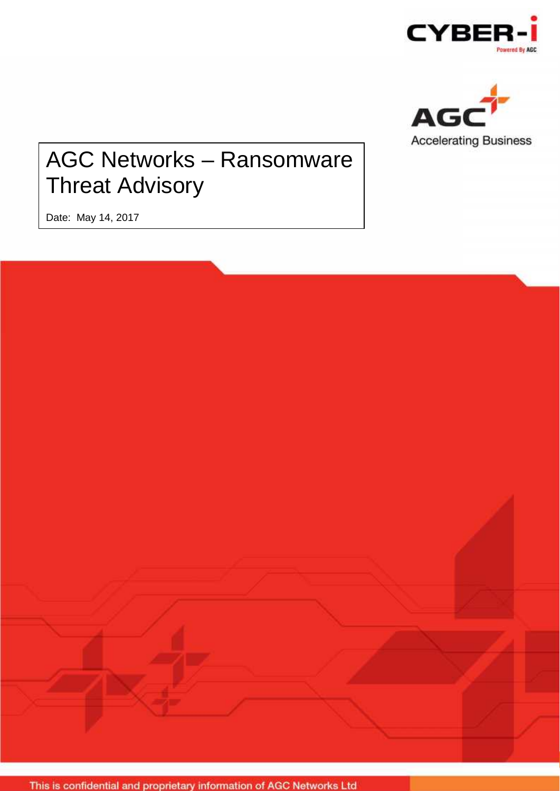



# AGC Networks – Ransomware Threat Advisory

Date: May 14, 2017

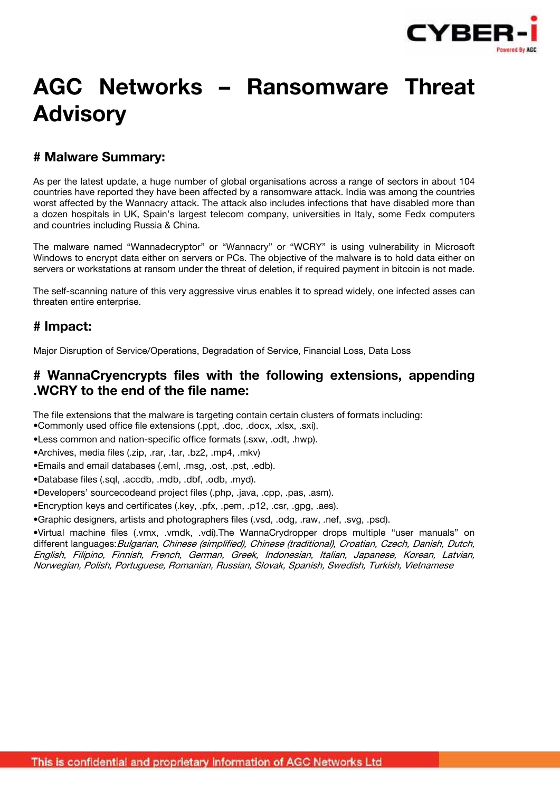

# **AGC Networks – Ransomware Threat Advisory**

# **# Malware Summary:**

As per the latest update, a huge number of global organisations across a range of sectors in about 104 countries have reported they have been affected by a ransomware attack. India was among the countries worst affected by the Wannacry attack. The attack also includes infections that have disabled more than a dozen hospitals in UK, Spain's largest telecom company, universities in Italy, some Fedx computers and countries including Russia & China.

The malware named "Wannadecryptor" or "Wannacry" or "WCRY" is using vulnerability in Microsoft Windows to encrypt data either on servers or PCs. The objective of the malware is to hold data either on servers or workstations at ransom under the threat of deletion, if required payment in bitcoin is not made.

The self-scanning nature of this very aggressive virus enables it to spread widely, one infected asses can threaten entire enterprise.

### **# Impact:**

Major Disruption of Service/Operations, Degradation of Service, Financial Loss, Data Loss

## **# WannaCryencrypts files with the following extensions, appending .WCRY to the end of the file name:**

The file extensions that the malware is targeting contain certain clusters of formats including:

•Commonly used office file extensions (.ppt, .doc, .docx, .xlsx, .sxi).

- •Less common and nation-specific office formats (.sxw, .odt, .hwp).
- •Archives, media files (.zip, .rar, .tar, .bz2, .mp4, .mkv)

•Emails and email databases (.eml, .msg, .ost, .pst, .edb).

•Database files (.sql, .accdb, .mdb, .dbf, .odb, .myd).

•Developers' sourcecodeand project files (.php, .java, .cpp, .pas, .asm).

•Encryption keys and certificates (.key, .pfx, .pem, .p12, .csr, .gpg, .aes).

•Graphic designers, artists and photographers files (.vsd, .odg, .raw, .nef, .svg, .psd).

•Virtual machine files (.vmx, .vmdk, .vdi).The WannaCrydropper drops multiple "user manuals" on different languages:*Bulgarian, Chinese (simplified), Chinese (traditional), Croatian, Czech, Danish, Dutch, English, Filipino, Finnish, French, German, Greek, Indonesian, Italian, Japanese, Korean, Latvian, Norwegian, Polish, Portuguese, Romanian, Russian, Slovak, Spanish, Swedish, Turkish, Vietnamese*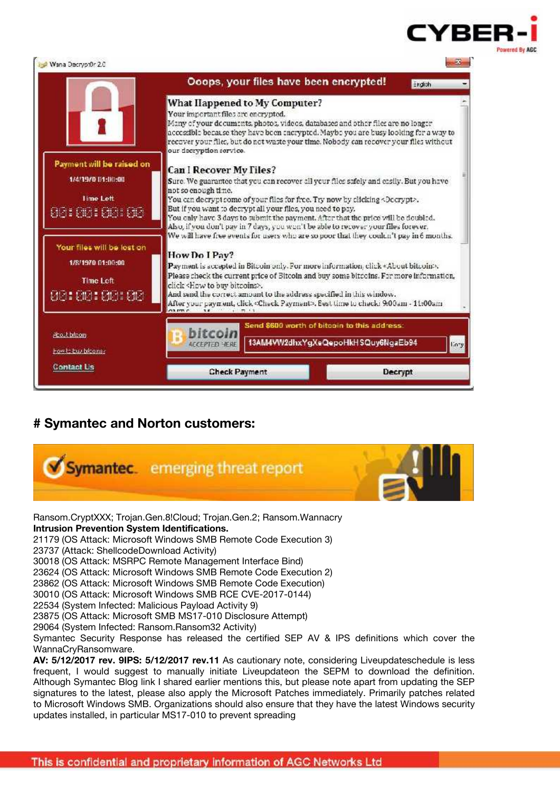

|                                                                                    |                                                                                                                  | Ocops, your files have been encrypted!                                                                                                                                                                                                                                                                                                                                                                                                                                                                                                                                                                                                                                                                                                                                                                                       | Endish         |
|------------------------------------------------------------------------------------|------------------------------------------------------------------------------------------------------------------|------------------------------------------------------------------------------------------------------------------------------------------------------------------------------------------------------------------------------------------------------------------------------------------------------------------------------------------------------------------------------------------------------------------------------------------------------------------------------------------------------------------------------------------------------------------------------------------------------------------------------------------------------------------------------------------------------------------------------------------------------------------------------------------------------------------------------|----------------|
| Payment will be raised on<br>1/4/19/0 01:00:00<br><b>Lime Lett</b><br>96198 981 98 | Your important files are encrypted.<br>our decryption service.<br>Can I Recover My Files?<br>not so enough time. | What Happened to My Computer?<br>Many of your decuments, photos, videos, databases and other files are no longer<br>accessible because they have been encrypted. Maybe you are busy looking for a way to<br>recover your files, but do not waste your time. Nobody can recover your files without<br>Sure. We guarantee that you can recover all your flies safely and easily. But you have<br>You can decrypt some of your files for free. Try now by clicking <decrypt>.<br/>But if you want to decrypt all your files, you need to pay.<br/>You only have 3 days to submit the payment. After that the price will be doubled.<br/>Also, if you don't pay in 7 days, you won't be able to recover your files forever.<br/>We will have free events for users who are so poor that they couldn't pay in 6 months.</decrypt> |                |
| Your files will be lost on<br>1/8/1970 01:00:00<br>Time Left<br>08100100108        | How Do I Pav?<br>click <how bitcoins="" buy="" to="">.</how>                                                     | Payment is accepted in Bitcoin only. For more information, click «About bitcoin».<br>Please check the current price of Bitcoin and buy some bitcoins. For more information,<br>And send the correct amount to the address specified in this window.<br>After your nayment, click «Check Payment». Best time to check: 9:00am - 11:00am                                                                                                                                                                                                                                                                                                                                                                                                                                                                                       |                |
| <b>Phost biboon</b><br>How to buy bloomer                                          | hitroil<br><b>ACCEPTED YERE</b>                                                                                  | Send \$600 worth of bitcoin to this address:<br>13AM4VW2dhxYgXeQepoHkHSQuy6NgaEb94                                                                                                                                                                                                                                                                                                                                                                                                                                                                                                                                                                                                                                                                                                                                           | <b>Cory</b>    |
| <b>Contact Us</b>                                                                  | <b>Check Payment</b>                                                                                             |                                                                                                                                                                                                                                                                                                                                                                                                                                                                                                                                                                                                                                                                                                                                                                                                                              | <b>Decrypt</b> |

# **# Symantec and Norton customers:**



Ransom.CryptXXX; Trojan.Gen.8!Cloud; Trojan.Gen.2; Ransom.Wannacry **Intrusion Prevention System Identifications.**

21179 (OS Attack: Microsoft Windows SMB Remote Code Execution 3)

23737 (Attack: ShellcodeDownload Activity)

30018 (OS Attack: MSRPC Remote Management Interface Bind)

23624 (OS Attack: Microsoft Windows SMB Remote Code Execution 2)

23862 (OS Attack: Microsoft Windows SMB Remote Code Execution)

30010 (OS Attack: Microsoft Windows SMB RCE CVE-2017-0144)

22534 (System Infected: Malicious Payload Activity 9)

23875 (OS Attack: Microsoft SMB MS17-010 Disclosure Attempt)

29064 (System Infected: Ransom.Ransom32 Activity)

Symantec Security Response has released the certified SEP AV & IPS definitions which cover the WannaCryRansomware.

**AV: 5/12/2017 rev. 9IPS: 5/12/2017 rev.11** As cautionary note, considering Liveupdateschedule is less frequent, I would suggest to manually initiate Liveupdateon the SEPM to download the definition. Although Symantec Blog link I shared earlier mentions this, but please note apart from updating the SEP signatures to the latest, please also apply the Microsoft Patches immediately. Primarily patches related to Microsoft Windows SMB. Organizations should also ensure that they have the latest Windows security updates installed, in particular MS17-010 to prevent spreading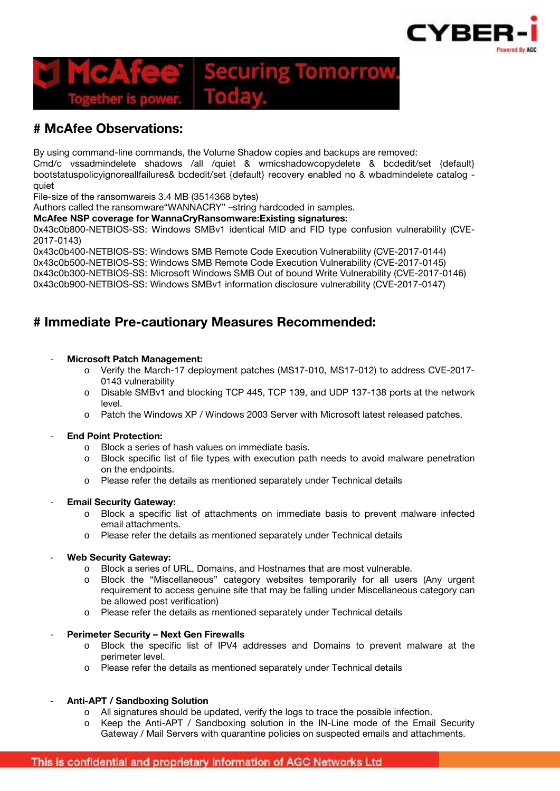

# **Securing Tomorrow**

# **# McAfee Observations:**

By using command-line commands, the Volume Shadow copies and backups are removed:

Cmd/c vssadmindelete shadows /all /quiet & wmicshadowcopydelete & bcdedit/set {default} bootstatuspolicyignoreallfailures& bcdedit/set {default} recovery enabled no & wbadmindelete catalog quiet

File-size of the ransomwareis 3.4 MB (3514368 bytes)

Authors called the ransomware"WANNACRY" –string hardcoded in samples.

#### **McAfee NSP coverage for WannaCryRansomware:Existing signatures:**

0x43c0b800-NETBIOS-SS: Windows SMBv1 identical MID and FID type confusion vulnerability (CVE- 2017-0143)

0x43c0b400-NETBIOS-SS: Windows SMB Remote Code Execution Vulnerability (CVE-2017-0144) 0x43c0b500-NETBIOS-SS: Windows SMB Remote Code Execution Vulnerability (CVE-2017-0145) 0x43c0b300-NETBIOS-SS: Microsoft Windows SMB Out of bound Write Vulnerability (CVE-2017-0146) 0x43c0b900-NETBIOS-SS: Windows SMBv1 information disclosure vulnerability (CVE-2017-0147)

## **# Immediate Pre-cautionary Measures Recommended:**

#### - **Microsoft Patch Management:**

- o Verify the March-17 deployment patches (MS17-010, MS17-012) to address CVE-2017- 0143 vulnerability
- o Disable SMBv1 and blocking TCP 445, TCP 139, and UDP 137-138 ports at the network level.
- o Patch the Windows XP / Windows 2003 Server with Microsoft latest released patches.

#### - **End Point Protection:**

- o Block a series of hash values on immediate basis.
- o Block specific list of file types with execution path needs to avoid malware penetration on the endpoints.
- o Please refer the details as mentioned separately under Technical details

#### **Email Security Gateway:**

- o Block a specific list of attachments on immediate basis to prevent malware infected email attachments.
- o Please refer the details as mentioned separately under Technical details

#### - **Web Security Gateway:**

- o Block a series of URL, Domains, and Hostnames that are most vulnerable.
- o Block the "Miscellaneous" category websites temporarily for all users (Any urgent requirement to access genuine site that may be falling under Miscellaneous category can be allowed post verification)
- o Please refer the details as mentioned separately under Technical details

#### - **Perimeter Security – Next Gen Firewalls**

- o Block the specific list of IPV4 addresses and Domains to prevent malware at the perimeter level.
- o Please refer the details as mentioned separately under Technical details

#### - **Anti-APT / Sandboxing Solution**

- o All signatures should be updated, verify the logs to trace the possible infection.
- o Keep the Anti-APT / Sandboxing solution in the IN-Line mode of the Email Security Gateway / Mail Servers with quarantine policies on suspected emails and attachments.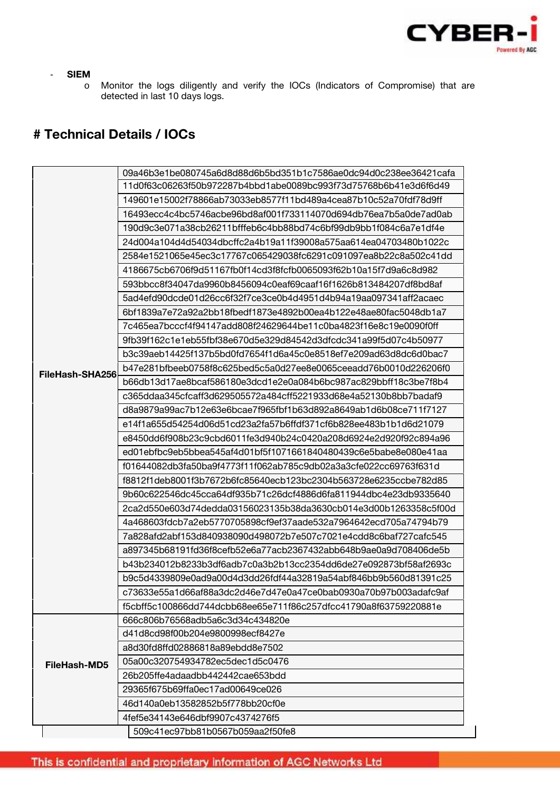

#### - **SIEM**

o Monitor the logs diligently and verify the IOCs (Indicators of Compromise) that are detected in last 10 days logs.

# **# Technical Details / IOCs**

|                 | 09a46b3e1be080745a6d8d88d6b5bd351b1c7586ae0dc94d0c238ee36421cafa |
|-----------------|------------------------------------------------------------------|
|                 | 11d0f63c06263f50b972287b4bbd1abe0089bc993f73d75768b6b41e3d6f6d49 |
|                 | 149601e15002f78866ab73033eb8577f11bd489a4cea87b10c52a70fdf78d9ff |
|                 | 16493ecc4c4bc5746acbe96bd8af001f733114070d694db76ea7b5a0de7ad0ab |
|                 | 190d9c3e071a38cb26211bfffeb6c4bb88bd74c6bf99db9bb1f084c6a7e1df4e |
|                 | 24d004a104d4d54034dbcffc2a4b19a11f39008a575aa614ea04703480b1022c |
|                 | 2584e1521065e45ec3c17767c065429038fc6291c091097ea8b22c8a502c41dd |
|                 | 4186675cb6706f9d51167fb0f14cd3f8fcfb0065093f62b10a15f7d9a6c8d982 |
|                 | 593bbcc8f34047da9960b8456094c0eaf69caaf16f1626b813484207df8bd8af |
|                 | 5ad4efd90dcde01d26cc6f32f7ce3ce0b4d4951d4b94a19aa097341aff2acaec |
|                 | 6bf1839a7e72a92a2bb18fbedf1873e4892b00ea4b122e48ae80fac5048db1a7 |
|                 | 7c465ea7bcccf4f94147add808f24629644be11c0ba4823f16e8c19e0090f0ff |
|                 | 9fb39f162c1e1eb55fbf38e670d5e329d84542d3dfcdc341a99f5d07c4b50977 |
|                 | b3c39aeb14425f137b5bd0fd7654f1d6a45c0e8518ef7e209ad63d8dc6d0bac7 |
| FileHash-SHA256 | b47e281bfbeeb0758f8c625bed5c5a0d27ee8e0065ceeadd76b0010d226206f0 |
|                 | b66db13d17ae8bcaf586180e3dcd1e2e0a084b6bc987ac829bbff18c3be7f8b4 |
|                 | c365ddaa345cfcaff3d629505572a484cff5221933d68e4a52130b8bb7badaf9 |
|                 | d8a9879a99ac7b12e63e6bcae7f965fbf1b63d892a8649ab1d6b08ce711f7127 |
|                 | e14f1a655d54254d06d51cd23a2fa57b6ffdf371cf6b828ee483b1b1d6d21079 |
|                 | e8450dd6f908b23c9cbd6011fe3d940b24c0420a208d6924e2d920f92c894a96 |
|                 | ed01ebfbc9eb5bbea545af4d01bf5f1071661840480439c6e5babe8e080e41aa |
|                 | f01644082db3fa50ba9f4773f11f062ab785c9db02a3a3cfe022cc69763f631d |
|                 | f8812f1deb8001f3b7672b6fc85640ecb123bc2304b563728e6235ccbe782d85 |
|                 | 9b60c622546dc45cca64df935b71c26dcf4886d6fa811944dbc4e23db9335640 |
|                 | 2ca2d550e603d74dedda03156023135b38da3630cb014e3d00b1263358c5f00d |
|                 | 4a468603fdcb7a2eb5770705898cf9ef37aade532a7964642ecd705a74794b79 |
|                 | 7a828afd2abf153d840938090d498072b7e507c7021e4cdd8c6baf727cafc545 |
|                 | a897345b68191fd36f8cefb52e6a77acb2367432abb648b9ae0a9d708406de5b |
|                 | b43b234012b8233b3df6adb7c0a3b2b13cc2354dd6de27e092873bf58af2693c |
|                 | b9c5d4339809e0ad9a00d4d3dd26fdf44a32819a54abf846bb9b560d81391c25 |
|                 | c73633e55a1d66af88a3dc2d46e7d47e0a47ce0bab0930a70b97b003adafc9af |
|                 | f5cbff5c100866dd744dcbb68ee65e711f86c257dfcc41790a8f63759220881e |
|                 | 666c806b76568adb5a6c3d34c434820e                                 |
|                 | d41d8cd98f00b204e9800998ecf8427e                                 |
|                 | a8d30fd8ffd02886818a89ebdd8e7502                                 |
| FileHash-MD5    | 05a00c320754934782ec5dec1d5c0476                                 |
|                 | 26b205ffe4adaadbb442442cae653bdd                                 |
|                 | 29365f675b69ffa0ec17ad00649ce026                                 |
|                 | 46d140a0eb13582852b5f778bb20cf0e                                 |
|                 | 4fef5e34143e646dbf9907c4374276f5                                 |
|                 | 509c41ec97bb81b0567b059aa2f50fe8                                 |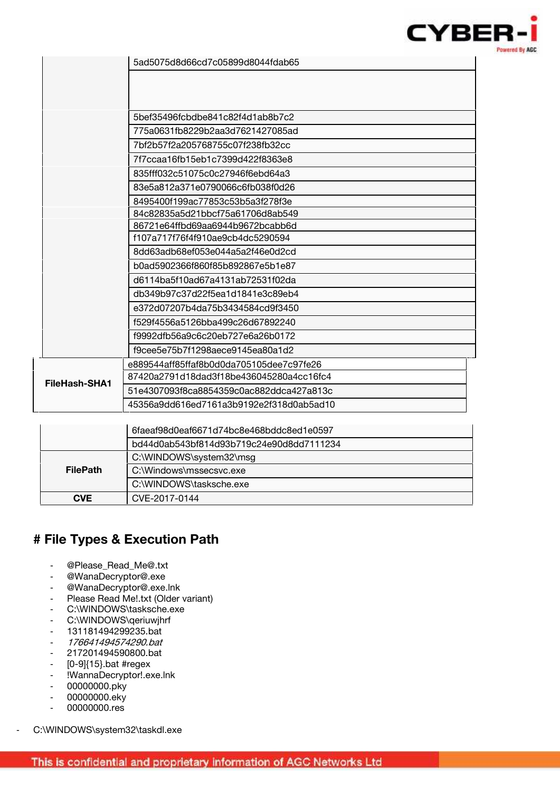

|               | 5bef35496fcbdbe841c82f4d1ab8b7c2         |
|---------------|------------------------------------------|
|               | 775a0631fb8229b2aa3d7621427085ad         |
|               | 7bf2b57f2a205768755c07f238fb32cc         |
|               | 7f7ccaa16fb15eb1c7399d422f8363e8         |
|               | 835fff032c51075c0c27946f6ebd64a3         |
|               | 83e5a812a371e0790066c6fb038f0d26         |
|               | 8495400f199ac77853c53b5a3f278f3e         |
|               | 84c82835a5d21bbcf75a61706d8ab549         |
|               | 86721e64ffbd69aa6944b9672bcabb6d         |
|               | f107a717f76f4f910ae9cb4dc5290594         |
|               | 8dd63adb68ef053e044a5a2f46e0d2cd         |
|               | b0ad5902366f860f85b892867e5b1e87         |
|               | d6114ba5f10ad67a4131ab72531f02da         |
|               | db349b97c37d22f5ea1d1841e3c89eb4         |
|               | e372d07207b4da75b3434584cd9f3450         |
|               | f529f4556a5126bba499c26d67892240         |
|               | f9992dfb56a9c6c20eb727e6a26b0172         |
|               | f9cee5e75b7f1298aece9145ea80a1d2         |
| FileHash-SHA1 | e889544aff85ffaf8b0d0da705105dee7c97fe26 |
|               | 87420a2791d18dad3f18be436045280a4cc16fc4 |
|               | 51e4307093f8ca8854359c0ac882ddca427a813c |
|               | 45356a9dd616ed7161a3b9192e2f318d0ab5ad10 |

|                 | 6faeaf98d0eaf6671d74bc8e468bddc8ed1e0597 |
|-----------------|------------------------------------------|
|                 | bd44d0ab543bf814d93b719c24e90d8dd7111234 |
|                 | C:\WINDOWS\system32\msg                  |
| <b>FilePath</b> | C:\Windows\mssecsvc.exe                  |
|                 | C:\WINDOWS\tasksche.exe                  |
| <b>CVE</b>      | CVE-2017-0144                            |

# **# File Types & Execution Path**

- @Please\_Read\_Me@.txt
- @WanaDecryptor@.exe
- @WanaDecryptor@.exe.lnk
- Please Read Me!.txt (Older variant)
- C:\WINDOWS\tasksche.exe
- C:\WINDOWS\qeriuwjhrf
- 131181494299235.bat
- *176641494574290.bat*
- 217201494590800.bat
- $[0-9]$ {15}.bat #regex
- !WannaDecryptor!.exe.lnk
- 00000000.pky
- 00000000.eky
- 00000000.res

C:\WINDOWS\system32\taskdl.exe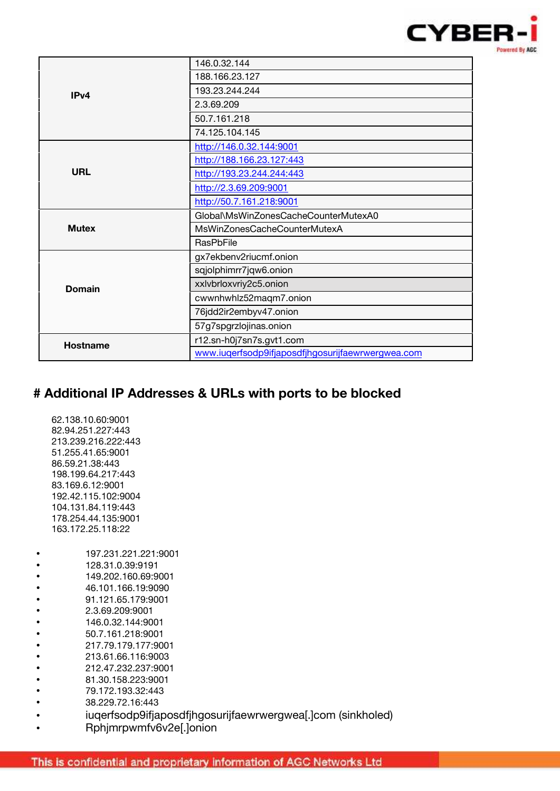

|                  | 146.0.32.144                                      |  |
|------------------|---------------------------------------------------|--|
|                  | 188.166.23.127                                    |  |
| IP <sub>v4</sub> | 193.23.244.244                                    |  |
|                  | 2.3.69.209                                        |  |
|                  | 50.7.161.218                                      |  |
|                  | 74.125.104.145                                    |  |
|                  | http://146.0.32.144:9001                          |  |
|                  | http://188.166.23.127:443                         |  |
| <b>URL</b>       | http://193.23.244.244:443                         |  |
|                  | http://2.3.69.209:9001                            |  |
|                  | http://50.7.161.218:9001                          |  |
|                  | Global\MsWinZonesCacheCounterMutexA0              |  |
| <b>Mutex</b>     | MsWinZonesCacheCounterMutexA                      |  |
|                  | <b>RasPbFile</b>                                  |  |
|                  | gx7ekbenv2riucmf.onion                            |  |
|                  | sqjolphimrr7jqw6.onion                            |  |
| <b>Domain</b>    | xxlvbrloxvriy2c5.onion                            |  |
|                  | cwwnhwhlz52maqm7.onion                            |  |
|                  | 76jdd2ir2embyv47.onion                            |  |
|                  | 57g7spgrzlojinas.onion                            |  |
| <b>Hostname</b>  | r12.sn-h0j7sn7s.gvt1.com                          |  |
|                  | www.iuqerfsodp9ifjaposdfjhgosurijfaewrwergwea.com |  |

# **# Additional IP Addresses & URLs with ports to be blocked**

| 62.138.10.60:9001<br>82.94.251.227:443<br>213 239 216 222 443<br>51 255 41 65:9001<br>86.59.21.38:443<br>198 199 64 217:443<br>83.169.6.12:9001 |
|-------------------------------------------------------------------------------------------------------------------------------------------------|
| 192.42.115.102:9004                                                                                                                             |
| 104 131 84 119 443                                                                                                                              |
| 178.254.44.135:9001<br>163 172 25 118:22                                                                                                        |
|                                                                                                                                                 |
| 197.231.221.221.9001                                                                                                                            |
| 128.31.0.39:9191                                                                                                                                |
| 149.202.160.69:9001                                                                                                                             |
| 46.101.166.19:9090                                                                                                                              |
| 91.121.65.179:9001                                                                                                                              |
| 2.3.69.209:9001                                                                                                                                 |
| 146.0.32.144:9001                                                                                                                               |
| 50.7.161.218:9001                                                                                                                               |
| 217.79.179.177:9001                                                                                                                             |
| 213.61.66.116:9003                                                                                                                              |
| 212 47 232 237:9001                                                                                                                             |
| 81.30.158.223:9001                                                                                                                              |
| 79.172.193.32:443                                                                                                                               |
| 38.229.72.16:443                                                                                                                                |
| iugerfsodp9ifjaposdfjhgosurijfaewrwergwea[.]com (sinkholed)                                                                                     |
| Rphjmrpwmfv6v2e[.]onion                                                                                                                         |